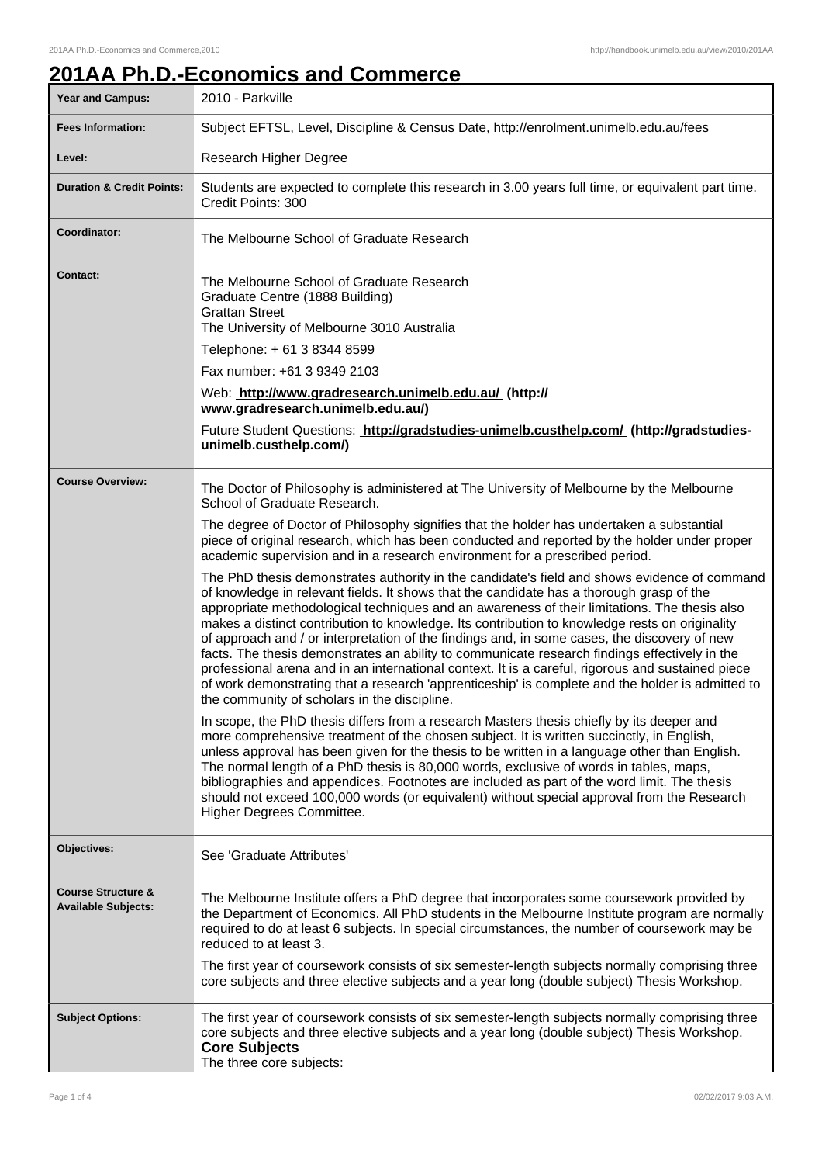## **201AA Ph.D.-Economics and Commerce**

| Year and Campus:                                            | 2010 - Parkville                                                                                                                                                                                                                                                                                                                                                                                                                                                                                                                                                                                                                                                                                                                                                                                                                                     |
|-------------------------------------------------------------|------------------------------------------------------------------------------------------------------------------------------------------------------------------------------------------------------------------------------------------------------------------------------------------------------------------------------------------------------------------------------------------------------------------------------------------------------------------------------------------------------------------------------------------------------------------------------------------------------------------------------------------------------------------------------------------------------------------------------------------------------------------------------------------------------------------------------------------------------|
| <b>Fees Information:</b>                                    | Subject EFTSL, Level, Discipline & Census Date, http://enrolment.unimelb.edu.au/fees                                                                                                                                                                                                                                                                                                                                                                                                                                                                                                                                                                                                                                                                                                                                                                 |
| Level:                                                      | Research Higher Degree                                                                                                                                                                                                                                                                                                                                                                                                                                                                                                                                                                                                                                                                                                                                                                                                                               |
| <b>Duration &amp; Credit Points:</b>                        | Students are expected to complete this research in 3.00 years full time, or equivalent part time.<br>Credit Points: 300                                                                                                                                                                                                                                                                                                                                                                                                                                                                                                                                                                                                                                                                                                                              |
| Coordinator:                                                | The Melbourne School of Graduate Research                                                                                                                                                                                                                                                                                                                                                                                                                                                                                                                                                                                                                                                                                                                                                                                                            |
| Contact:                                                    | The Melbourne School of Graduate Research<br>Graduate Centre (1888 Building)<br><b>Grattan Street</b><br>The University of Melbourne 3010 Australia                                                                                                                                                                                                                                                                                                                                                                                                                                                                                                                                                                                                                                                                                                  |
|                                                             | Telephone: +61 3 8344 8599                                                                                                                                                                                                                                                                                                                                                                                                                                                                                                                                                                                                                                                                                                                                                                                                                           |
|                                                             | Fax number: +61 3 9349 2103                                                                                                                                                                                                                                                                                                                                                                                                                                                                                                                                                                                                                                                                                                                                                                                                                          |
|                                                             | Web: http://www.gradresearch.unimelb.edu.au/ (http://<br>www.gradresearch.unimelb.edu.au/)                                                                                                                                                                                                                                                                                                                                                                                                                                                                                                                                                                                                                                                                                                                                                           |
|                                                             | Future Student Questions: http://gradstudies-unimelb.custhelp.com/ (http://gradstudies-<br>unimelb.custhelp.com/)                                                                                                                                                                                                                                                                                                                                                                                                                                                                                                                                                                                                                                                                                                                                    |
| <b>Course Overview:</b>                                     | The Doctor of Philosophy is administered at The University of Melbourne by the Melbourne<br>School of Graduate Research.                                                                                                                                                                                                                                                                                                                                                                                                                                                                                                                                                                                                                                                                                                                             |
|                                                             | The degree of Doctor of Philosophy signifies that the holder has undertaken a substantial<br>piece of original research, which has been conducted and reported by the holder under proper<br>academic supervision and in a research environment for a prescribed period.                                                                                                                                                                                                                                                                                                                                                                                                                                                                                                                                                                             |
|                                                             | The PhD thesis demonstrates authority in the candidate's field and shows evidence of command<br>of knowledge in relevant fields. It shows that the candidate has a thorough grasp of the<br>appropriate methodological techniques and an awareness of their limitations. The thesis also<br>makes a distinct contribution to knowledge. Its contribution to knowledge rests on originality<br>of approach and / or interpretation of the findings and, in some cases, the discovery of new<br>facts. The thesis demonstrates an ability to communicate research findings effectively in the<br>professional arena and in an international context. It is a careful, rigorous and sustained piece<br>of work demonstrating that a research 'apprenticeship' is complete and the holder is admitted to<br>the community of scholars in the discipline. |
|                                                             | In scope, the PhD thesis differs from a research Masters thesis chiefly by its deeper and<br>more comprehensive treatment of the chosen subject. It is written succinctly, in English,<br>unless approval has been given for the thesis to be written in a language other than English.<br>The normal length of a PhD thesis is 80,000 words, exclusive of words in tables, maps,<br>bibliographies and appendices. Footnotes are included as part of the word limit. The thesis<br>should not exceed 100,000 words (or equivalent) without special approval from the Research<br>Higher Degrees Committee.                                                                                                                                                                                                                                          |
| Objectives:                                                 | See 'Graduate Attributes'                                                                                                                                                                                                                                                                                                                                                                                                                                                                                                                                                                                                                                                                                                                                                                                                                            |
| <b>Course Structure &amp;</b><br><b>Available Subjects:</b> | The Melbourne Institute offers a PhD degree that incorporates some coursework provided by<br>the Department of Economics. All PhD students in the Melbourne Institute program are normally<br>required to do at least 6 subjects. In special circumstances, the number of coursework may be<br>reduced to at least 3.                                                                                                                                                                                                                                                                                                                                                                                                                                                                                                                                |
|                                                             | The first year of coursework consists of six semester-length subjects normally comprising three<br>core subjects and three elective subjects and a year long (double subject) Thesis Workshop.                                                                                                                                                                                                                                                                                                                                                                                                                                                                                                                                                                                                                                                       |
| <b>Subject Options:</b>                                     | The first year of coursework consists of six semester-length subjects normally comprising three<br>core subjects and three elective subjects and a year long (double subject) Thesis Workshop.<br><b>Core Subjects</b><br>The three core subjects:                                                                                                                                                                                                                                                                                                                                                                                                                                                                                                                                                                                                   |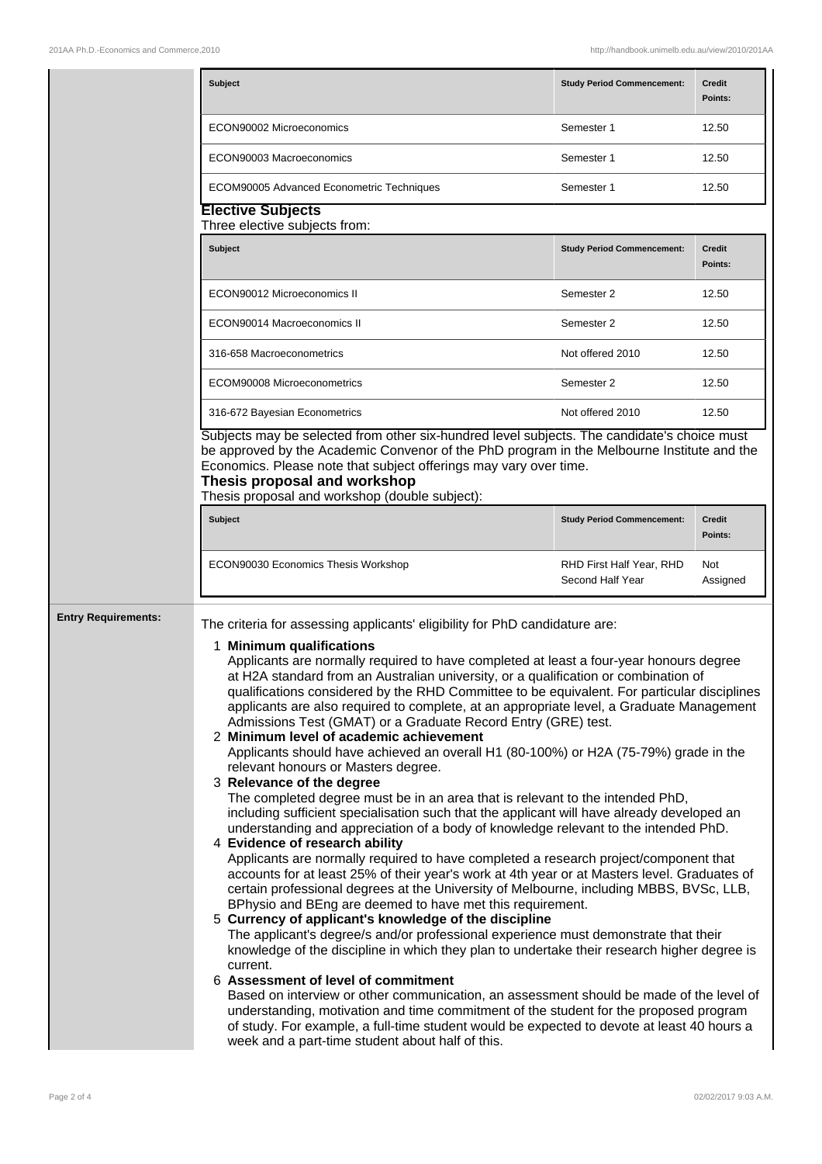|                            | <b>Subject</b>                                                                                                                                                                                                                                                                                                                                                                                                                                                                                                                                                                                                                                                                                                                                                                                                                                                                                                                                                                                                                                                                                                                                                                                                                                                                                                                                                                                                                                                                                                                                                                                                                                                                                                                                                                                                                                                                                                                                                                                          | <b>Study Period Commencement:</b>            | <b>Credit</b><br>Points: |  |  |
|----------------------------|---------------------------------------------------------------------------------------------------------------------------------------------------------------------------------------------------------------------------------------------------------------------------------------------------------------------------------------------------------------------------------------------------------------------------------------------------------------------------------------------------------------------------------------------------------------------------------------------------------------------------------------------------------------------------------------------------------------------------------------------------------------------------------------------------------------------------------------------------------------------------------------------------------------------------------------------------------------------------------------------------------------------------------------------------------------------------------------------------------------------------------------------------------------------------------------------------------------------------------------------------------------------------------------------------------------------------------------------------------------------------------------------------------------------------------------------------------------------------------------------------------------------------------------------------------------------------------------------------------------------------------------------------------------------------------------------------------------------------------------------------------------------------------------------------------------------------------------------------------------------------------------------------------------------------------------------------------------------------------------------------------|----------------------------------------------|--------------------------|--|--|
|                            | ECON90002 Microeconomics                                                                                                                                                                                                                                                                                                                                                                                                                                                                                                                                                                                                                                                                                                                                                                                                                                                                                                                                                                                                                                                                                                                                                                                                                                                                                                                                                                                                                                                                                                                                                                                                                                                                                                                                                                                                                                                                                                                                                                                | Semester 1                                   | 12.50                    |  |  |
|                            | ECON90003 Macroeconomics                                                                                                                                                                                                                                                                                                                                                                                                                                                                                                                                                                                                                                                                                                                                                                                                                                                                                                                                                                                                                                                                                                                                                                                                                                                                                                                                                                                                                                                                                                                                                                                                                                                                                                                                                                                                                                                                                                                                                                                | Semester 1                                   | 12.50                    |  |  |
|                            | <b>ECOM90005 Advanced Econometric Techniques</b>                                                                                                                                                                                                                                                                                                                                                                                                                                                                                                                                                                                                                                                                                                                                                                                                                                                                                                                                                                                                                                                                                                                                                                                                                                                                                                                                                                                                                                                                                                                                                                                                                                                                                                                                                                                                                                                                                                                                                        | Semester 1                                   | 12.50                    |  |  |
|                            | <b>Elective Subjects</b><br>Three elective subjects from:                                                                                                                                                                                                                                                                                                                                                                                                                                                                                                                                                                                                                                                                                                                                                                                                                                                                                                                                                                                                                                                                                                                                                                                                                                                                                                                                                                                                                                                                                                                                                                                                                                                                                                                                                                                                                                                                                                                                               |                                              |                          |  |  |
|                            | <b>Subject</b>                                                                                                                                                                                                                                                                                                                                                                                                                                                                                                                                                                                                                                                                                                                                                                                                                                                                                                                                                                                                                                                                                                                                                                                                                                                                                                                                                                                                                                                                                                                                                                                                                                                                                                                                                                                                                                                                                                                                                                                          | <b>Study Period Commencement:</b>            | <b>Credit</b><br>Points: |  |  |
|                            | ECON90012 Microeconomics II                                                                                                                                                                                                                                                                                                                                                                                                                                                                                                                                                                                                                                                                                                                                                                                                                                                                                                                                                                                                                                                                                                                                                                                                                                                                                                                                                                                                                                                                                                                                                                                                                                                                                                                                                                                                                                                                                                                                                                             | Semester 2                                   | 12.50                    |  |  |
|                            | ECON90014 Macroeconomics II                                                                                                                                                                                                                                                                                                                                                                                                                                                                                                                                                                                                                                                                                                                                                                                                                                                                                                                                                                                                                                                                                                                                                                                                                                                                                                                                                                                                                                                                                                                                                                                                                                                                                                                                                                                                                                                                                                                                                                             | Semester 2                                   | 12.50                    |  |  |
|                            | 316-658 Macroeconometrics                                                                                                                                                                                                                                                                                                                                                                                                                                                                                                                                                                                                                                                                                                                                                                                                                                                                                                                                                                                                                                                                                                                                                                                                                                                                                                                                                                                                                                                                                                                                                                                                                                                                                                                                                                                                                                                                                                                                                                               | Not offered 2010                             | 12.50                    |  |  |
|                            | ECOM90008 Microeconometrics                                                                                                                                                                                                                                                                                                                                                                                                                                                                                                                                                                                                                                                                                                                                                                                                                                                                                                                                                                                                                                                                                                                                                                                                                                                                                                                                                                                                                                                                                                                                                                                                                                                                                                                                                                                                                                                                                                                                                                             | Semester 2                                   | 12.50                    |  |  |
|                            | 316-672 Bayesian Econometrics                                                                                                                                                                                                                                                                                                                                                                                                                                                                                                                                                                                                                                                                                                                                                                                                                                                                                                                                                                                                                                                                                                                                                                                                                                                                                                                                                                                                                                                                                                                                                                                                                                                                                                                                                                                                                                                                                                                                                                           | Not offered 2010                             | 12.50                    |  |  |
|                            | Subjects may be selected from other six-hundred level subjects. The candidate's choice must<br>be approved by the Academic Convenor of the PhD program in the Melbourne Institute and the<br>Economics. Please note that subject offerings may vary over time.<br>Thesis proposal and workshop<br>Thesis proposal and workshop (double subject):                                                                                                                                                                                                                                                                                                                                                                                                                                                                                                                                                                                                                                                                                                                                                                                                                                                                                                                                                                                                                                                                                                                                                                                                                                                                                                                                                                                                                                                                                                                                                                                                                                                        |                                              |                          |  |  |
|                            | <b>Subject</b>                                                                                                                                                                                                                                                                                                                                                                                                                                                                                                                                                                                                                                                                                                                                                                                                                                                                                                                                                                                                                                                                                                                                                                                                                                                                                                                                                                                                                                                                                                                                                                                                                                                                                                                                                                                                                                                                                                                                                                                          | <b>Study Period Commencement:</b>            | <b>Credit</b><br>Points: |  |  |
|                            | ECON90030 Economics Thesis Workshop                                                                                                                                                                                                                                                                                                                                                                                                                                                                                                                                                                                                                                                                                                                                                                                                                                                                                                                                                                                                                                                                                                                                                                                                                                                                                                                                                                                                                                                                                                                                                                                                                                                                                                                                                                                                                                                                                                                                                                     | RHD First Half Year, RHD<br>Second Half Year | Not<br>Assigned          |  |  |
| <b>Entry Requirements:</b> | The criteria for assessing applicants' eligibility for PhD candidature are:<br>1 Minimum qualifications<br>Applicants are normally required to have completed at least a four-year honours degree<br>at H2A standard from an Australian university, or a qualification or combination of<br>qualifications considered by the RHD Committee to be equivalent. For particular disciplines<br>applicants are also required to complete, at an appropriate level, a Graduate Management<br>Admissions Test (GMAT) or a Graduate Record Entry (GRE) test.<br>2 Minimum level of academic achievement<br>Applicants should have achieved an overall H1 (80-100%) or H2A (75-79%) grade in the<br>relevant honours or Masters degree.<br>3 Relevance of the degree<br>The completed degree must be in an area that is relevant to the intended PhD,<br>including sufficient specialisation such that the applicant will have already developed an<br>understanding and appreciation of a body of knowledge relevant to the intended PhD.<br>4 Evidence of research ability<br>Applicants are normally required to have completed a research project/component that<br>accounts for at least 25% of their year's work at 4th year or at Masters level. Graduates of<br>certain professional degrees at the University of Melbourne, including MBBS, BVSc, LLB,<br>BPhysio and BEng are deemed to have met this requirement.<br>5 Currency of applicant's knowledge of the discipline<br>The applicant's degree/s and/or professional experience must demonstrate that their<br>knowledge of the discipline in which they plan to undertake their research higher degree is<br>current.<br>6 Assessment of level of commitment<br>Based on interview or other communication, an assessment should be made of the level of<br>understanding, motivation and time commitment of the student for the proposed program<br>of study. For example, a full-time student would be expected to devote at least 40 hours a |                                              |                          |  |  |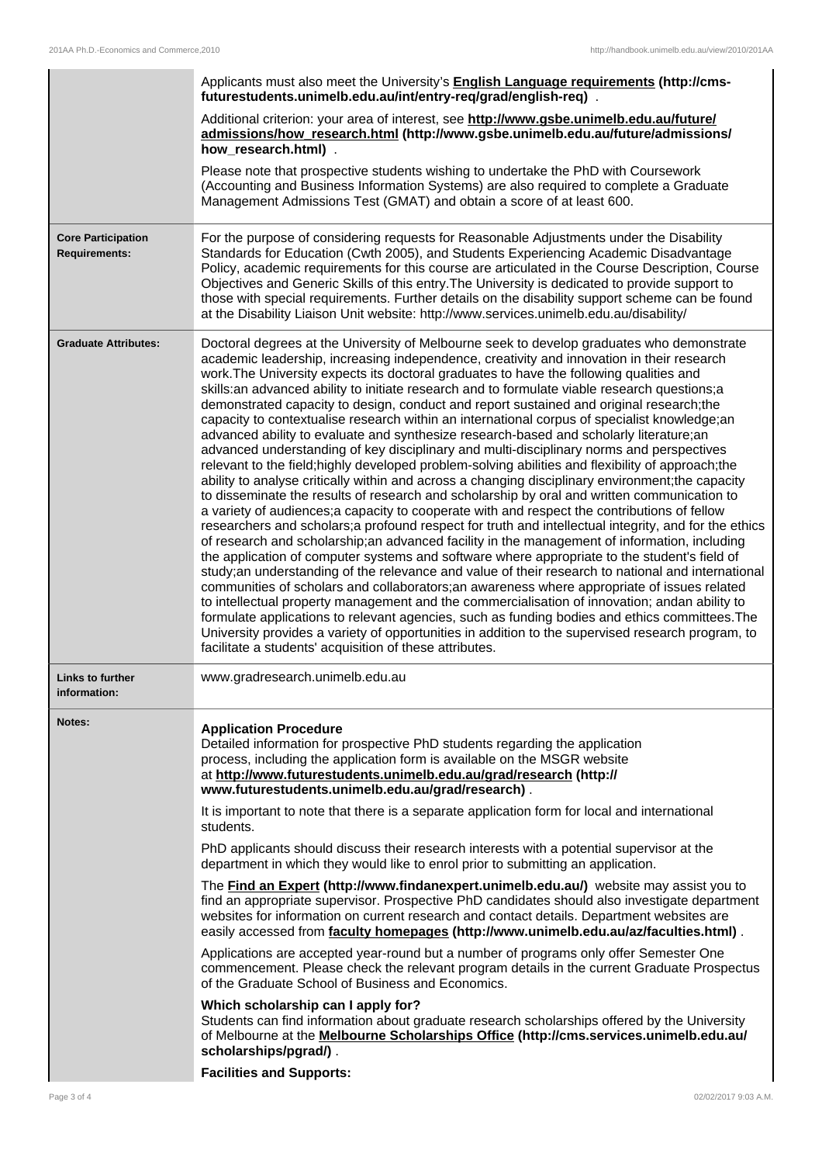|                                                   | Applicants must also meet the University's <b>English Language requirements (http://cms-</b><br>futurestudents.unimelb.edu.au/int/entry-req/grad/english-req).                                                                                                                                                                                                                                                                                                                                                                                                                                                                                                                                                                                                                                                                                                                                                                                                                                                                                                                                                                                                                                                                                                                                                                                                                                                                                                                                                                                                                                                                                                                                                                                                                                                                                                                                                                                                                                                                                               |
|---------------------------------------------------|--------------------------------------------------------------------------------------------------------------------------------------------------------------------------------------------------------------------------------------------------------------------------------------------------------------------------------------------------------------------------------------------------------------------------------------------------------------------------------------------------------------------------------------------------------------------------------------------------------------------------------------------------------------------------------------------------------------------------------------------------------------------------------------------------------------------------------------------------------------------------------------------------------------------------------------------------------------------------------------------------------------------------------------------------------------------------------------------------------------------------------------------------------------------------------------------------------------------------------------------------------------------------------------------------------------------------------------------------------------------------------------------------------------------------------------------------------------------------------------------------------------------------------------------------------------------------------------------------------------------------------------------------------------------------------------------------------------------------------------------------------------------------------------------------------------------------------------------------------------------------------------------------------------------------------------------------------------------------------------------------------------------------------------------------------------|
|                                                   | Additional criterion: your area of interest, see http://www.gsbe.unimelb.edu.au/future/<br>admissions/how_research.html (http://www.gsbe.unimelb.edu.au/future/admissions/<br>how_research.html).                                                                                                                                                                                                                                                                                                                                                                                                                                                                                                                                                                                                                                                                                                                                                                                                                                                                                                                                                                                                                                                                                                                                                                                                                                                                                                                                                                                                                                                                                                                                                                                                                                                                                                                                                                                                                                                            |
|                                                   | Please note that prospective students wishing to undertake the PhD with Coursework<br>(Accounting and Business Information Systems) are also required to complete a Graduate<br>Management Admissions Test (GMAT) and obtain a score of at least 600.                                                                                                                                                                                                                                                                                                                                                                                                                                                                                                                                                                                                                                                                                                                                                                                                                                                                                                                                                                                                                                                                                                                                                                                                                                                                                                                                                                                                                                                                                                                                                                                                                                                                                                                                                                                                        |
| <b>Core Participation</b><br><b>Requirements:</b> | For the purpose of considering requests for Reasonable Adjustments under the Disability<br>Standards for Education (Cwth 2005), and Students Experiencing Academic Disadvantage<br>Policy, academic requirements for this course are articulated in the Course Description, Course<br>Objectives and Generic Skills of this entry. The University is dedicated to provide support to<br>those with special requirements. Further details on the disability support scheme can be found<br>at the Disability Liaison Unit website: http://www.services.unimelb.edu.au/disability/                                                                                                                                                                                                                                                                                                                                                                                                                                                                                                                                                                                                                                                                                                                                                                                                                                                                                                                                                                                                                                                                                                                                                                                                                                                                                                                                                                                                                                                                             |
| <b>Graduate Attributes:</b>                       | Doctoral degrees at the University of Melbourne seek to develop graduates who demonstrate<br>academic leadership, increasing independence, creativity and innovation in their research<br>work. The University expects its doctoral graduates to have the following qualities and<br>skills: an advanced ability to initiate research and to formulate viable research questions; a<br>demonstrated capacity to design, conduct and report sustained and original research;the<br>capacity to contextualise research within an international corpus of specialist knowledge;an<br>advanced ability to evaluate and synthesize research-based and scholarly literature;an<br>advanced understanding of key disciplinary and multi-disciplinary norms and perspectives<br>relevant to the field; highly developed problem-solving abilities and flexibility of approach; the<br>ability to analyse critically within and across a changing disciplinary environment; the capacity<br>to disseminate the results of research and scholarship by oral and written communication to<br>a variety of audiences; a capacity to cooperate with and respect the contributions of fellow<br>researchers and scholars;a profound respect for truth and intellectual integrity, and for the ethics<br>of research and scholarship;an advanced facility in the management of information, including<br>the application of computer systems and software where appropriate to the student's field of<br>study;an understanding of the relevance and value of their research to national and international<br>communities of scholars and collaborators;an awareness where appropriate of issues related<br>to intellectual property management and the commercialisation of innovation; andan ability to<br>formulate applications to relevant agencies, such as funding bodies and ethics committees. The<br>University provides a variety of opportunities in addition to the supervised research program, to<br>facilitate a students' acquisition of these attributes. |
| Links to further<br>information:                  | www.gradresearch.unimelb.edu.au                                                                                                                                                                                                                                                                                                                                                                                                                                                                                                                                                                                                                                                                                                                                                                                                                                                                                                                                                                                                                                                                                                                                                                                                                                                                                                                                                                                                                                                                                                                                                                                                                                                                                                                                                                                                                                                                                                                                                                                                                              |
| Notes:                                            | <b>Application Procedure</b><br>Detailed information for prospective PhD students regarding the application<br>process, including the application form is available on the MSGR website<br>at http://www.futurestudents.unimelb.edu.au/grad/research (http://<br>www.futurestudents.unimelb.edu.au/grad/research).                                                                                                                                                                                                                                                                                                                                                                                                                                                                                                                                                                                                                                                                                                                                                                                                                                                                                                                                                                                                                                                                                                                                                                                                                                                                                                                                                                                                                                                                                                                                                                                                                                                                                                                                           |
|                                                   | It is important to note that there is a separate application form for local and international<br>students.                                                                                                                                                                                                                                                                                                                                                                                                                                                                                                                                                                                                                                                                                                                                                                                                                                                                                                                                                                                                                                                                                                                                                                                                                                                                                                                                                                                                                                                                                                                                                                                                                                                                                                                                                                                                                                                                                                                                                   |
|                                                   | PhD applicants should discuss their research interests with a potential supervisor at the<br>department in which they would like to enrol prior to submitting an application.                                                                                                                                                                                                                                                                                                                                                                                                                                                                                                                                                                                                                                                                                                                                                                                                                                                                                                                                                                                                                                                                                                                                                                                                                                                                                                                                                                                                                                                                                                                                                                                                                                                                                                                                                                                                                                                                                |
|                                                   |                                                                                                                                                                                                                                                                                                                                                                                                                                                                                                                                                                                                                                                                                                                                                                                                                                                                                                                                                                                                                                                                                                                                                                                                                                                                                                                                                                                                                                                                                                                                                                                                                                                                                                                                                                                                                                                                                                                                                                                                                                                              |
|                                                   | The <b>Find an Expert (http://www.findanexpert.unimelb.edu.au/)</b> website may assist you to<br>find an appropriate supervisor. Prospective PhD candidates should also investigate department<br>websites for information on current research and contact details. Department websites are<br>easily accessed from <b>faculty homepages</b> (http://www.unimelb.edu.au/az/faculties.html).                                                                                                                                                                                                                                                                                                                                                                                                                                                                                                                                                                                                                                                                                                                                                                                                                                                                                                                                                                                                                                                                                                                                                                                                                                                                                                                                                                                                                                                                                                                                                                                                                                                                  |
|                                                   | Applications are accepted year-round but a number of programs only offer Semester One<br>commencement. Please check the relevant program details in the current Graduate Prospectus<br>of the Graduate School of Business and Economics.                                                                                                                                                                                                                                                                                                                                                                                                                                                                                                                                                                                                                                                                                                                                                                                                                                                                                                                                                                                                                                                                                                                                                                                                                                                                                                                                                                                                                                                                                                                                                                                                                                                                                                                                                                                                                     |
|                                                   | Which scholarship can I apply for?<br>Students can find information about graduate research scholarships offered by the University<br>of Melbourne at the <b>Melbourne Scholarships Office</b> (http://cms.services.unimelb.edu.au/<br>scholarships/pgrad/).<br><b>Facilities and Supports:</b>                                                                                                                                                                                                                                                                                                                                                                                                                                                                                                                                                                                                                                                                                                                                                                                                                                                                                                                                                                                                                                                                                                                                                                                                                                                                                                                                                                                                                                                                                                                                                                                                                                                                                                                                                              |